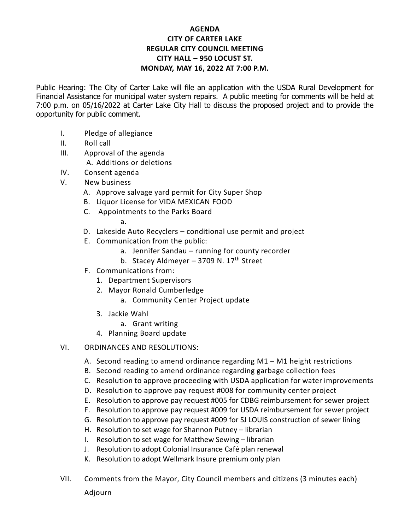## **AGENDA CITY OF CARTER LAKE REGULAR CITY COUNCIL MEETING CITY HALL – 950 LOCUST ST. MONDAY, MAY 16, 2022 AT 7:00 P.M.**

Public Hearing: The City of Carter Lake will file an application with the USDA Rural Development for Financial Assistance for municipal water system repairs. A public meeting for comments will be held at 7:00 p.m. on 05/16/2022 at Carter Lake City Hall to discuss the proposed project and to provide the opportunity for public comment.

- I. Pledge of allegiance
- II. Roll call
- III. Approval of the agenda A. Additions or deletions
- IV. Consent agenda
- V. New business
	- A. Approve salvage yard permit for City Super Shop
	- B. Liquor License for VIDA MEXICAN FOOD
	- C. Appointments to the Parks Board

a.

- D. Lakeside Auto Recyclers conditional use permit and project
- E. Communication from the public:
	- a. Jennifer Sandau running for county recorder
	- b. Stacey Aldmeyer 3709 N.  $17<sup>th</sup>$  Street
- F. Communications from:
	- 1. Department Supervisors
	- 2. Mayor Ronald Cumberledge
		- a. Community Center Project update
	- 3. Jackie Wahl
		- a. Grant writing
	- 4. Planning Board update
- VI. ORDINANCES AND RESOLUTIONS:
	- A. Second reading to amend ordinance regarding M1 M1 height restrictions
	- B. Second reading to amend ordinance regarding garbage collection fees
	- C. Resolution to approve proceeding with USDA application for water improvements
	- D. Resolution to approve pay request #008 for community center project
	- E. Resolution to approve pay request #005 for CDBG reimbursement for sewer project
	- F. Resolution to approve pay request #009 for USDA reimbursement for sewer project
	- G. Resolution to approve pay request #009 for SJ LOUIS construction of sewer lining
	- H. Resolution to set wage for Shannon Putney librarian
	- I. Resolution to set wage for Matthew Sewing librarian
	- J. Resolution to adopt Colonial Insurance Café plan renewal
	- K. Resolution to adopt Wellmark Insure premium only plan
- VII. Comments from the Mayor, City Council members and citizens (3 minutes each) Adjourn